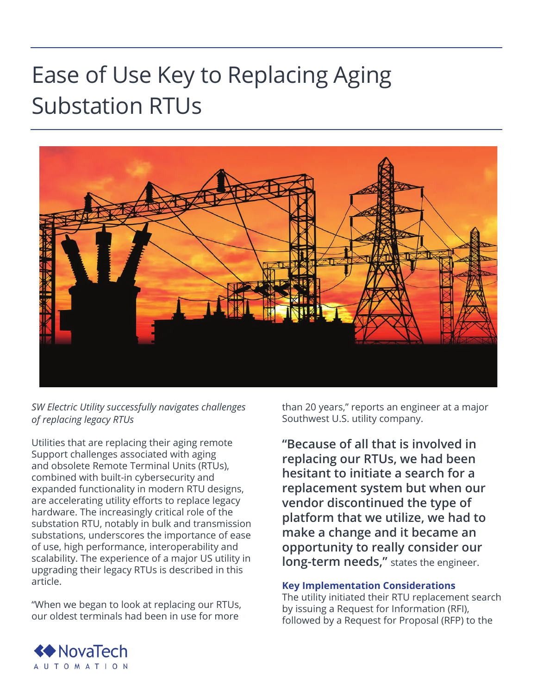## Ease of Use Key to Replacing Aging Substation RTUs



*SW Electric Utility successfully navigates challenges of replacing legacy RTUs* 

Utilities that are replacing their aging remote Support challenges associated with aging and obsolete Remote Terminal Units (RTUs), combined with built-in cybersecurity and expanded functionality in modern RTU designs, are accelerating utility efforts to replace legacy hardware. The increasingly critical role of the substation RTU, notably in bulk and transmission substations, underscores the importance of ease of use, high performance, interoperability and scalability. The experience of a major US utility in upgrading their legacy RTUs is described in this article.

"When we began to look at replacing our RTUs, our oldest terminals had been in use for more

than 20 years," reports an engineer at a major Southwest U.S. utility company.

**"Because of all that is involved in replacing our RTUs, we had been hesitant to initiate a search for a replacement system but when our vendor discontinued the type of platform that we utilize, we had to make a change and it became an opportunity to really consider our long-term needs,"** states the engineer.

## **Key Implementation Considerations**

The utility initiated their RTU replacement search by issuing a Request for Information (RFI), followed by a Request for Proposal (RFP) to the

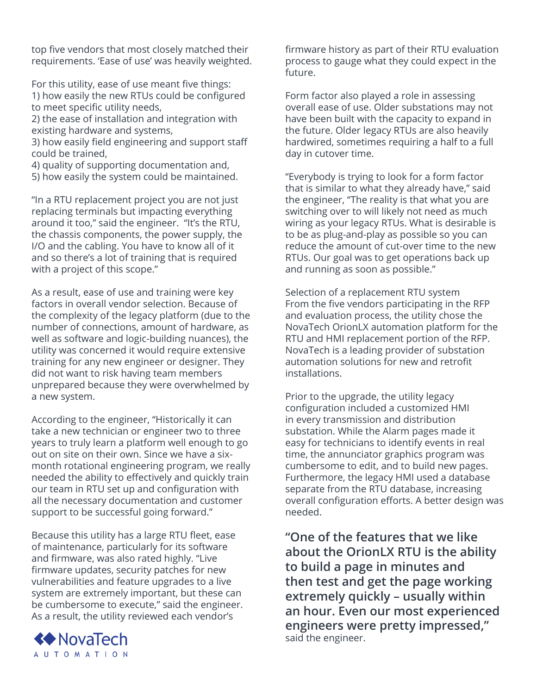top five vendors that most closely matched their requirements. 'Ease of use' was heavily weighted.

For this utility, ease of use meant five things: 1) how easily the new RTUs could be configured to meet specific utility needs,

2) the ease of installation and integration with existing hardware and systems,

3) how easily field engineering and support staff could be trained,

4) quality of supporting documentation and, 5) how easily the system could be maintained.

"In a RTU replacement project you are not just replacing terminals but impacting everything around it too," said the engineer. "It's the RTU, the chassis components, the power supply, the I/O and the cabling. You have to know all of it and so there's a lot of training that is required with a project of this scope."

As a result, ease of use and training were key factors in overall vendor selection. Because of the complexity of the legacy platform (due to the number of connections, amount of hardware, as well as software and logic-building nuances), the utility was concerned it would require extensive training for any new engineer or designer. They did not want to risk having team members unprepared because they were overwhelmed by a new system.

According to the engineer, "Historically it can take a new technician or engineer two to three years to truly learn a platform well enough to go out on site on their own. Since we have a sixmonth rotational engineering program, we really needed the ability to effectively and quickly train our team in RTU set up and configuration with all the necessary documentation and customer support to be successful going forward."

Because this utility has a large RTU fleet, ease of maintenance, particularly for its software and firmware, was also rated highly. "Live firmware updates, security patches for new vulnerabilities and feature upgrades to a live system are extremely important, but these can be cumbersome to execute," said the engineer. As a result, the utility reviewed each vendor's



firmware history as part of their RTU evaluation process to gauge what they could expect in the future.

Form factor also played a role in assessing overall ease of use. Older substations may not have been built with the capacity to expand in the future. Older legacy RTUs are also heavily hardwired, sometimes requiring a half to a full day in cutover time.

"Everybody is trying to look for a form factor that is similar to what they already have," said the engineer, "The reality is that what you are switching over to will likely not need as much wiring as your legacy RTUs. What is desirable is to be as plug-and-play as possible so you can reduce the amount of cut-over time to the new RTUs. Our goal was to get operations back up and running as soon as possible."

Selection of a replacement RTU system From the five vendors participating in the RFP and evaluation process, the utility chose the NovaTech OrionLX automation platform for the RTU and HMI replacement portion of the RFP. NovaTech is a leading provider of substation automation solutions for new and retrofit installations.

Prior to the upgrade, the utility legacy configuration included a customized HMI in every transmission and distribution substation. While the Alarm pages made it easy for technicians to identify events in real time, the annunciator graphics program was cumbersome to edit, and to build new pages. Furthermore, the legacy HMI used a database separate from the RTU database, increasing overall configuration efforts. A better design was needed.

**"One of the features that we like about the OrionLX RTU is the ability to build a page in minutes and then test and get the page working extremely quickly – usually within an hour. Even our most experienced engineers were pretty impressed,"** said the engineer.